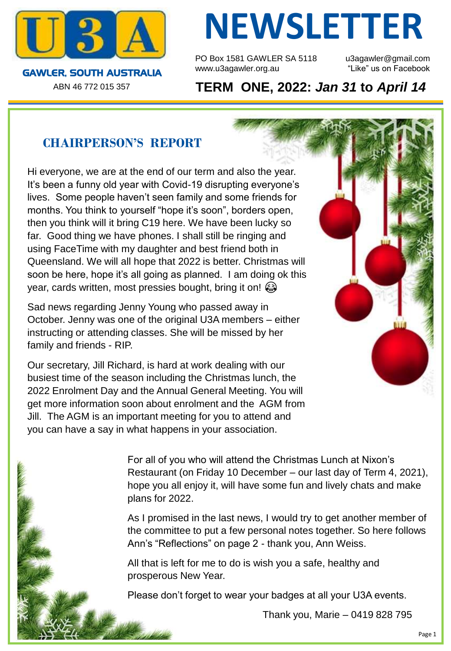

ABN 46 772 015 357

# **NEWSLETTER**

PO Box 1581 GAWLER SA 5118 u3agawler@gmail.com www.u3agawler.org.au The "Like" us on Facebook

**TERM ONE, 2022:** *Jan 31* **to** *April 14*

# **CHAIRPERSON'S REPORT**

Hi everyone, we are at the end of our term and also the year. It's been a funny old year with Covid-19 disrupting everyone's lives. Some people haven't seen family and some friends for months. You think to yourself "hope it's soon", borders open, then you think will it bring C19 here. We have been lucky so far. Good thing we have phones. I shall still be ringing and using FaceTime with my daughter and best friend both in Queensland. We will all hope that 2022 is better. Christmas will soon be here, hope it's all going as planned. I am doing ok this year, cards written, most pressies bought, bring it on!

Sad news regarding Jenny Young who passed away in October. Jenny was one of the original U3A members – either instructing or attending classes. She will be missed by her family and friends - RIP.

Our secretary, Jill Richard, is hard at work dealing with our busiest time of the season including the Christmas lunch, the 2022 Enrolment Day and the Annual General Meeting. You will get more information soon about enrolment and the AGM from Jill. The AGM is an important meeting for you to attend and you can have a say in what happens in your association.

> For all of you who will attend the Christmas Lunch at Nixon's Restaurant (on Friday 10 December – our last day of Term 4, 2021), hope you all enjoy it, will have some fun and lively chats and make plans for 2022.

> As I promised in the last news, I would try to get another member of the committee to put a few personal notes together. So here follows Ann's "Reflections" on page 2 - thank you, Ann Weiss.

All that is left for me to do is wish you a safe, healthy and prosperous New Year.

Please don't forget to wear your badges at all your U3A events.

Thank you, Marie – 0419 828 795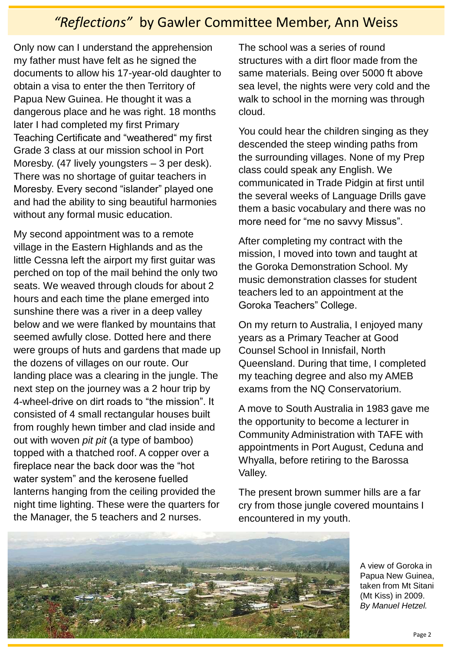# *"Reflections"* by Gawler Committee Member, Ann Weiss

Only now can I understand the apprehension my father must have felt as he signed the documents to allow his 17-year-old daughter to obtain a visa to enter the then Territory of Papua New Guinea. He thought it was a dangerous place and he was right. 18 months later I had completed my first Primary Teaching Certificate and "weathered" my first Grade 3 class at our mission school in Port Moresby. (47 lively youngsters – 3 per desk). There was no shortage of guitar teachers in Moresby. Every second "islander" played one and had the ability to sing beautiful harmonies without any formal music education.

My second appointment was to a remote village in the Eastern Highlands and as the little Cessna left the airport my first guitar was perched on top of the mail behind the only two seats. We weaved through clouds for about 2 hours and each time the plane emerged into sunshine there was a river in a deep valley below and we were flanked by mountains that seemed awfully close. Dotted here and there were groups of huts and gardens that made up the dozens of villages on our route. Our landing place was a clearing in the jungle. The next step on the journey was a 2 hour trip by 4-wheel-drive on dirt roads to "the mission". It consisted of 4 small rectangular houses built from roughly hewn timber and clad inside and out with woven *pit pit* (a type of bamboo) topped with a thatched roof. A copper over a fireplace near the back door was the "hot water system" and the kerosene fuelled lanterns hanging from the ceiling provided the night time lighting. These were the quarters for the Manager, the 5 teachers and 2 nurses.

The school was a series of round structures with a dirt floor made from the same materials. Being over 5000 ft above sea level, the nights were very cold and the walk to school in the morning was through cloud.

You could hear the children singing as they descended the steep winding paths from the surrounding villages. None of my Prep class could speak any English. We communicated in Trade Pidgin at first until the several weeks of Language Drills gave them a basic vocabulary and there was no more need for "me no savvy Missus".

After completing my contract with the mission, I moved into town and taught at the Goroka Demonstration School. My music demonstration classes for student teachers led to an appointment at the Goroka Teachers" College.

On my return to Australia, I enjoyed many years as a Primary Teacher at Good Counsel School in Innisfail, North Queensland. During that time, I completed my teaching degree and also my AMEB exams from the NQ Conservatorium.

A move to South Australia in 1983 gave me the opportunity to become a lecturer in Community Administration with TAFE with appointments in Port August, Ceduna and Whyalla, before retiring to the Barossa Valley.

The present brown summer hills are a far cry from those jungle covered mountains I encountered in my youth.



A view of Goroka in Papua New Guinea, taken from Mt Sitani (Mt Kiss) in 2009. *By Manuel Hetzel.*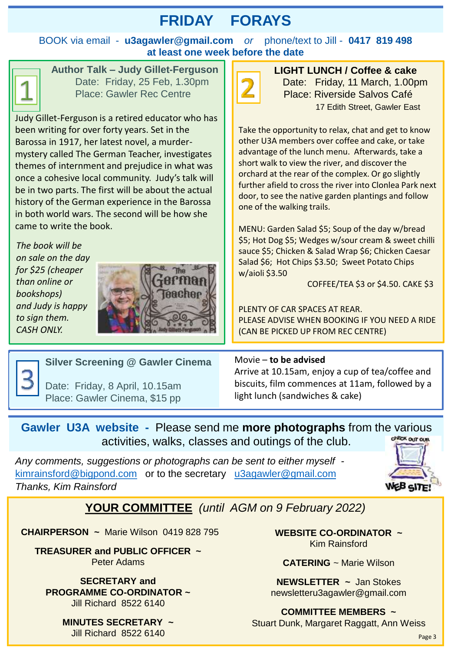# **FRIDAY FORAYS**

BOOK via email - **u3agawler@gmail.com** *or* phone/text to Jill - **0417 819 498 at least one week before the date**



**Author Talk – Judy Gillet-Ferguson** Date: Friday, 25 Feb, 1.30pm Place: Gawler Rec Centre

Judy Gillet-Ferguson is a retired educator who has been writing for over forty years. Set in the Barossa in 1917, her latest novel, a murdermystery called The German Teacher, investigates themes of internment and prejudice in what was once a cohesive local community. Judy's talk will be in two parts. The first will be about the actual history of the German experience in the Barossa in both world wars. The second will be how she came to write the book.

*The book will be on sale on the day for \$25 (cheaper than online or bookshops) and Judy is happy to sign them. CASH ONLY.*





**LIGHT LUNCH / Coffee & cake** Date: Friday, 11 March, 1.00pm Place: Riverside Salvos Café 17 Edith Street, Gawler East

Take the opportunity to relax, chat and get to know other U3A members over coffee and cake, or take advantage of the lunch menu. Afterwards, take a short walk to view the river, and discover the orchard at the rear of the complex. Or go slightly further afield to cross the river into Clonlea Park next door, to see the native garden plantings and follow one of the walking trails.

MENU: Garden Salad \$5; Soup of the day w/bread \$5; Hot Dog \$5; Wedges w/sour cream & sweet chilli sauce \$5; Chicken & Salad Wrap \$6; Chicken Caesar Salad \$6; Hot Chips \$3.50; Sweet Potato Chips w/aioli \$3.50

COFFEE/TEA \$3 or \$4.50. CAKE \$3

PLENTY OF CAR SPACES AT REAR. PLEASE ADVISE WHEN BOOKING IF YOU NEED A RIDE (CAN BE PICKED UP FROM REC CENTRE)



#### **Silver Screening @ Gawler Cinema**

Date: Friday, 8 April, 10.15am Place: Gawler Cinema, \$15 pp

#### Movie – **to be advised**

Arrive at 10.15am, enjoy a cup of tea/coffee and biscuits, film commences at 11am, followed by a light lunch (sandwiches & cake)

#### **Gawler U3A website -** Please send me **more photographs** from the various **CHECK OUT OUR** activities, walks, classes and outings of the club.

*Any comments, suggestions or photographs can be sent to either myself*  [kimrainsford@bigpond.com](mailto:kimrainsford@bigpond.com) or to the secretary [u3agawler@gmail.com](mailto:u3agawler@gmail.com) *Thanks, Kim Rainsford*



#### **YOUR COMMITTEE** *(until AGM on 9 February 2022)*

**CHAIRPERSON ~** Marie Wilson 0419 828 795

**TREASURER and PUBLIC OFFICER ~**  Peter Adams

**SECRETARY and PROGRAMME CO-ORDINATOR ~**  Jill Richard 8522 6140

> **MINUTES SECRETARY ~**  Jill Richard 8522 6140

**WEBSITE CO-ORDINATOR ~**  Kim Rainsford

**CATERING** ~ Marie Wilson

**NEWSLETTER ~** Jan Stokes newsletteru3agawler@gmail.com

# **COMMITTEE MEMBERS ~**

Stuart Dunk, Margaret Raggatt, Ann Weiss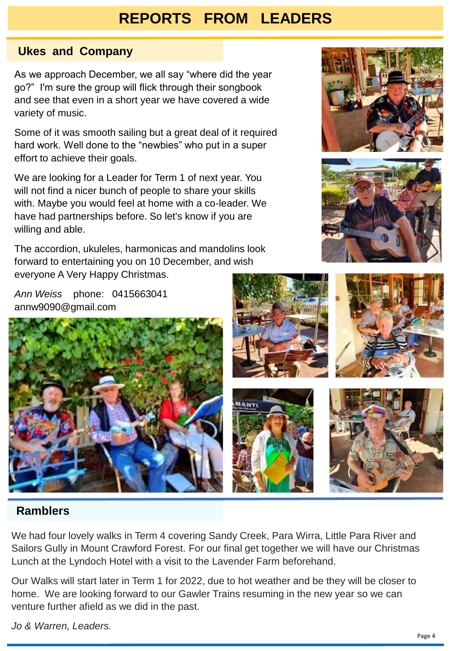# **REPORTS FROM LEADERS**

#### **Ukes and Company**

As we approach December, we all say "where did the year go?" I'm sure the group will flick through their songbook and see that even in a short year we have covered a wide variety of music.

Some of it was smooth sailing but a great deal of it required hard work. Well done to the "newbies" who put in a super effort to achieve their goals.

We are looking for a Leader for Term 1 of next year. You will not find a nicer bunch of people to share your skills with. Maybe you would feel at home with a co-leader. We have had partnerships before. So let's know if you are willing and able.

The accordion, ukuleles, harmonicas and mandolins look forward to entertaining you on 10 December, and wish everyone A Very Happy Christmas.

*Ann Weiss* phone: 0415663041 annw9090@gmail.com









#### **Ramblers**

We had four lovely walks in Term 4 covering Sandy Creek, Para Wirra, Little Para River and Sailors Gully in Mount Crawford Forest. For our final get together we will have our Christmas Lunch at the Lyndoch Hotel with a visit to the Lavender Farm beforehand.

Our Walks will start later in Term 1 for 2022, due to hot weather and be they will be closer to home. We are looking forward to our Gawler Trains resuming in the new year so we can venture further afield as we did in the past.

*Jo & Warren, Leaders.*



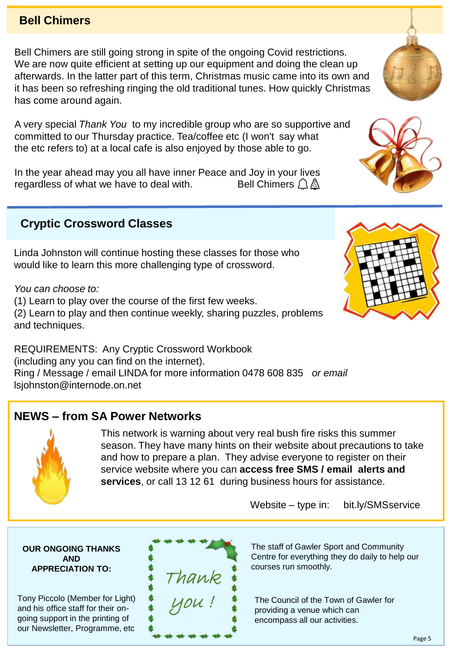#### **Bell Chimers**

Bell Chimers are still going strong in spite of the ongoing Covid restrictions. We are now quite efficient at setting up our equipment and doing the clean up afterwards. In the latter part of this term, Christmas music came into its own and it has been so refreshing ringing the old traditional tunes. How quickly Christmas has come around again.

A very special *Thank You* to my incredible group who are so supportive and committed to our Thursday practice. Tea/coffee etc (I won't say what the etc refers to) at a local cafe is also enjoyed by those able to go.

In the year ahead may you all have inner Peace and Joy in your lives regardless of what we have to deal with. Bell Chimers  $\bigcap$  A

### **Cryptic Crossword Classes**

Linda Johnston will continue hosting these classes for those who would like to learn this more challenging type of crossword.

*You can choose to:* 

(1) Learn to play over the course of the first few weeks.

(2) Learn to play and then continue weekly, sharing puzzles, problems and techniques.

REQUIREMENTS: Any Cryptic Crossword Workbook (including any you can find on the internet). Ring / Message / email LINDA for more information 0478 608 835 *or email*  lsjohnston@internode.on.net

Thank

you !

#### **NEWS – from SA Power Networks**

This network is warning about very real bush fire risks this summer season. They have many hints on their website about precautions to take and how to prepare a plan. They advise everyone to register on their service website where you can **access free SMS / email alerts and services**, or call 13 12 61 during business hours for assistance.

Website – type in: bit.ly/SMSservice

The staff of Gawler Sport and Community Centre for everything they do daily to help our courses run smoothly.

The Council of the Town of Gawler for providing a venue which can encompass all our activities.

#### **OUR ONGOING THANKS AND APPRECIATION TO:**

Tony F and his office staff for their ongoing support in the printing of our Newsletter, Programme, etc

| AND<br><b>PRECIATION TO:</b> |  |
|------------------------------|--|
| Piccolo (Member for Light)   |  |





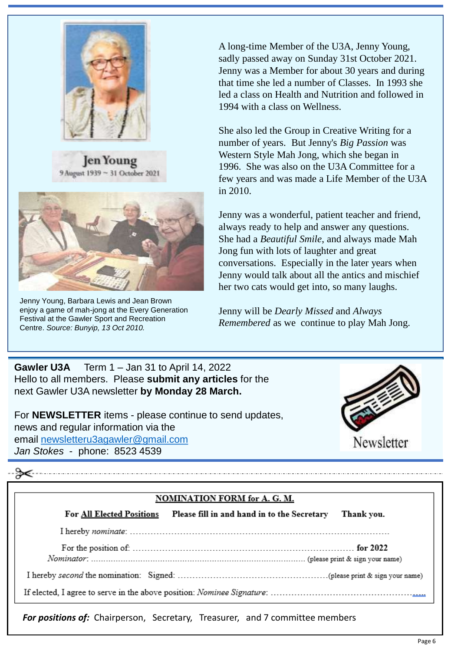

en Young 9 August 1939 ~ 31 October 2021



Jenny Young, Barbara Lewis and Jean Brown enjoy a game of mah-jong at the Every Generation Festival at the Gawler Sport and Recreation Centre. *Source: Bunyip, 13 Oct 2010.*

A long-time Member of the U3A, Jenny Young, sadly passed away on Sunday 31st October 2021. Jenny was a Member for about 30 years and during that time she led a number of Classes. In 1993 she led a class on Health and Nutrition and followed in 1994 with a class on Wellness.

She also led the Group in Creative Writing for a number of years. But Jenny's *Big Passion* was Western Style Mah Jong, which she began in 1996. She was also on the U3A Committee for a few years and was made a Life Member of the U3A in 2010.

Jenny was a wonderful, patient teacher and friend, always ready to help and answer any questions. She had a *Beautiful Smile*, and always made Mah Jong fun with lots of laughter and great conversations. Especially in the later years when Jenny would talk about all the antics and mischief her two cats would get into, so many laughs.

Jenny will be *Dearly Missed* and *Always Remembered* as we continue to play Mah Jong.



For **NEWSLETTER** items - please continue to send updates, news and regular information via the email [newsletteru3agawler@gmail.com](mailto:newsletteru3agawler@gmail.com) *Jan Stokes* - phone: 8523 4539



#### **NOMINATION FORM for A. G. M.**

| <b>For All Elected Positions</b> | Please fill in and hand in to the Secretary Thank you. |  |  |
|----------------------------------|--------------------------------------------------------|--|--|
|                                  |                                                        |  |  |
|                                  |                                                        |  |  |
|                                  |                                                        |  |  |
|                                  |                                                        |  |  |

*For positions of:* Chairperson, Secretary, Treasurer, and 7 committee members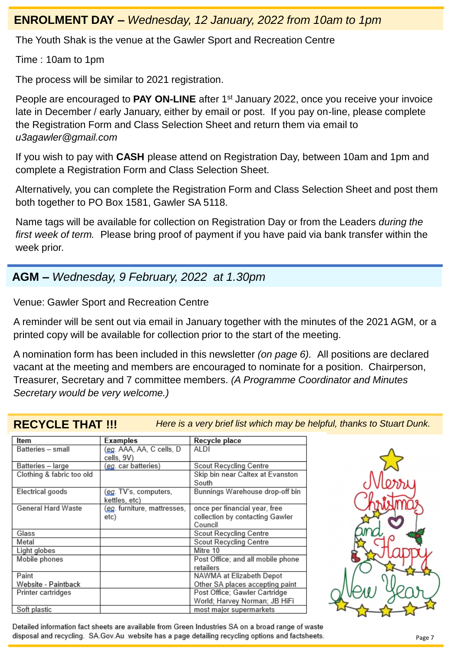#### **ENROLMENT DAY –** *Wednesday, 12 January, 2022 from 10am to 1pm*

The Youth Shak is the venue at the Gawler Sport and Recreation Centre

Time : 10am to 1pm

The process will be similar to 2021 registration.

People are encouraged to PAY ON-LINE after 1<sup>st</sup> January 2022, once you receive your invoice late in December / early January, either by email or post. If you pay on-line, please complete the Registration Form and Class Selection Sheet and return them via email to *u3agawler@gmail.com*

If you wish to pay with **CASH** please attend on Registration Day, between 10am and 1pm and complete a Registration Form and Class Selection Sheet.

Alternatively, you can complete the Registration Form and Class Selection Sheet and post them both together to PO Box 1581, Gawler SA 5118.

Name tags will be available for collection on Registration Day or from the Leaders *during the first week of term.* Please bring proof of payment if you have paid via bank transfer within the week prior.

#### **AGM –** *Wednesday, 9 February, 2022 at 1.30pm*

Venue: Gawler Sport and Recreation Centre

A reminder will be sent out via email in January together with the minutes of the 2021 AGM, or a printed copy will be available for collection prior to the start of the meeting.

A nomination form has been included in this newsletter *(on page 6).* All positions are declared vacant at the meeting and members are encouraged to nominate for a position. Chairperson, Treasurer, Secretary and 7 committee members. *(A Programme Coordinator and Minutes Secretary would be very welcome.)*

**RECYCLE THAT !!!** *Here is a very brief list which may be helpful, thanks to Stuart Dunk.*

| Item                      | Examples                    | Recycle place                     |
|---------------------------|-----------------------------|-----------------------------------|
| Batteries – small         | (eg. AAA, AA, C cells, D    | ALDI                              |
|                           | cells, 9V)                  |                                   |
| Batteries - large         | (eg. car batteries)         | Scout Recycling Centre            |
| Clothing & fabric too old |                             | Skip bin near Caltex at Evanston  |
|                           |                             | South                             |
| Electrical goods          | (eg. TV's, computers,       | Bunnings Warehouse drop-off bin   |
|                           | kettles, etc)               |                                   |
| General Hard Waste        | (eg. furniture, mattresses, | once per financial year, free     |
|                           | etc)                        | collection by contacting Gawler   |
|                           |                             | Council                           |
| Glass                     |                             | Scout Recycling Centre            |
| Metal                     |                             | <b>Scout Recycling Centre</b>     |
| Light globes              |                             | Mitre 10                          |
| Mobile phones             |                             | Post Office; and all mobile phone |
|                           |                             | retailers                         |
| Paint                     |                             | NAWMA at Elizabeth Depot          |
| Website - Paintback       |                             | Other SA places accepting paint   |
| Printer cartridges        |                             | Post Office; Gawler Cartridge     |
|                           |                             | World; Harvey Norman; JB HiFi     |
| Soft plastic              |                             | most major supermarkets           |



Detailed information fact sheets are available from Green Industries SA on a broad range of waste disposal and recycling. SA.Gov.Au website has a page detailing recycling options and factsheets.